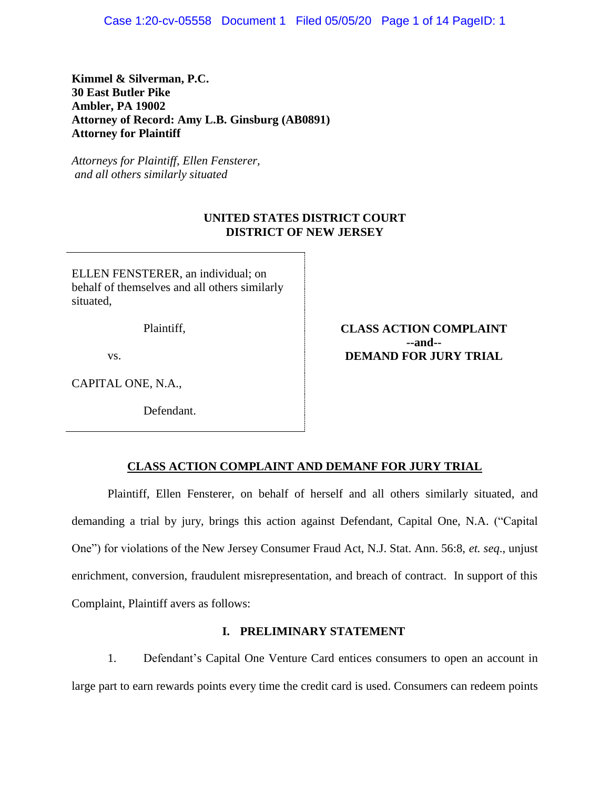Case 1:20-cv-05558 Document 1 Filed 05/05/20 Page 1 of 14 PageID: 1

**Kimmel & Silverman, P.C. 30 East Butler Pike Ambler, PA 19002 Attorney of Record: Amy L.B. Ginsburg (AB0891) Attorney for Plaintiff**

*Attorneys for Plaintiff, Ellen Fensterer, and all others similarly situated*

# **UNITED STATES DISTRICT COURT DISTRICT OF NEW JERSEY**

ELLEN FENSTERER, an individual; on behalf of themselves and all others similarly situated,

Plaintiff,

vs.

CAPITAL ONE, N.A.,

Defendant.

**CLASS ACTION COMPLAINT --and-- DEMAND FOR JURY TRIAL**

## **CLASS ACTION COMPLAINT AND DEMANF FOR JURY TRIAL**

Plaintiff, Ellen Fensterer, on behalf of herself and all others similarly situated, and demanding a trial by jury, brings this action against Defendant, Capital One, N.A. ("Capital One") for violations of the New Jersey Consumer Fraud Act, N.J. Stat. Ann. 56:8, *et. seq*., unjust enrichment, conversion, fraudulent misrepresentation, and breach of contract. In support of this Complaint, Plaintiff avers as follows:

# **I. PRELIMINARY STATEMENT**

1. Defendant's Capital One Venture Card entices consumers to open an account in large part to earn rewards points every time the credit card is used. Consumers can redeem points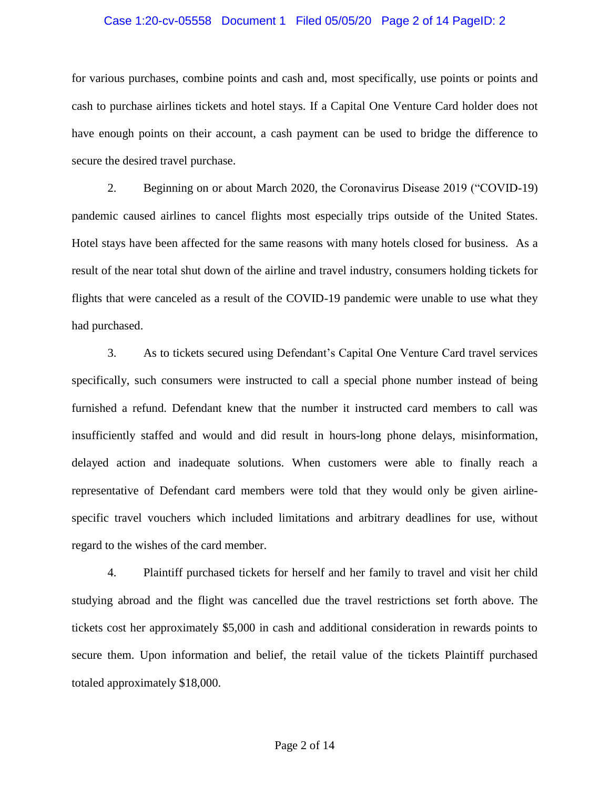#### Case 1:20-cv-05558 Document 1 Filed 05/05/20 Page 2 of 14 PageID: 2

for various purchases, combine points and cash and, most specifically, use points or points and cash to purchase airlines tickets and hotel stays. If a Capital One Venture Card holder does not have enough points on their account, a cash payment can be used to bridge the difference to secure the desired travel purchase.

2. Beginning on or about March 2020, the Coronavirus Disease 2019 ("COVID-19) pandemic caused airlines to cancel flights most especially trips outside of the United States. Hotel stays have been affected for the same reasons with many hotels closed for business. As a result of the near total shut down of the airline and travel industry, consumers holding tickets for flights that were canceled as a result of the COVID-19 pandemic were unable to use what they had purchased.

3. As to tickets secured using Defendant's Capital One Venture Card travel services specifically, such consumers were instructed to call a special phone number instead of being furnished a refund. Defendant knew that the number it instructed card members to call was insufficiently staffed and would and did result in hours-long phone delays, misinformation, delayed action and inadequate solutions. When customers were able to finally reach a representative of Defendant card members were told that they would only be given airlinespecific travel vouchers which included limitations and arbitrary deadlines for use, without regard to the wishes of the card member.

4. Plaintiff purchased tickets for herself and her family to travel and visit her child studying abroad and the flight was cancelled due the travel restrictions set forth above. The tickets cost her approximately \$5,000 in cash and additional consideration in rewards points to secure them. Upon information and belief, the retail value of the tickets Plaintiff purchased totaled approximately \$18,000.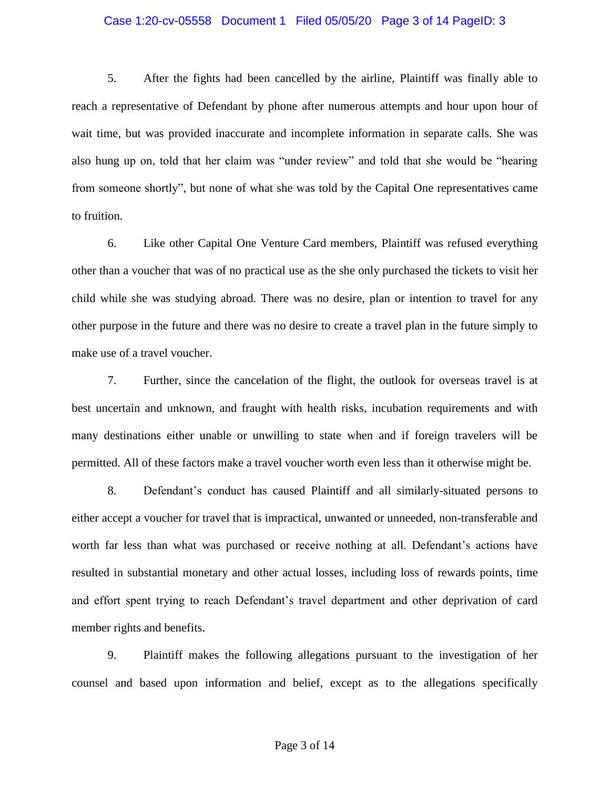#### Case 1:20-cv-05558 Document 1 Filed 05/05/20 Page 3 of 14 PageID: 3

5. After the fights had been cancelled by the airline, Plaintiff was finally able to reach a representative of Defendant by phone after numerous attempts and hour upon hour of wait time, but was provided inaccurate and incomplete information in separate calls. She was also hung up on, told that her claim was "under review" and told that she would be "hearing from someone shortly", but none of what she was told by the Capital One representatives came to fruition.

6. Like other Capital One Venture Card members, Plaintiff was refused everything other than a voucher that was of no practical use as the she only purchased the tickets to visit her child while she was studying abroad. There was no desire, plan or intention to travel for any other purpose in the future and there was no desire to create a travel plan in the future simply to make use of a travel voucher.

7. Further, since the cancelation of the flight, the outlook for overseas travel is at best uncertain and unknown, and fraught with health risks, incubation requirements and with many destinations either unable or unwilling to state when and if foreign travelers will be permitted. All of these factors make a travel voucher worth even less than it otherwise might be.

8. Defendant's conduct has caused Plaintiff and all similarly-situated persons to either accept a voucher for travel that is impractical, unwanted or unneeded, non-transferable and worth far less than what was purchased or receive nothing at all. Defendant's actions have resulted in substantial monetary and other actual losses, including loss of rewards points, time and effort spent trying to reach Defendant's travel department and other deprivation of card member rights and benefits.

9. Plaintiff makes the following allegations pursuant to the investigation of her counsel and based upon information and belief, except as to the allegations specifically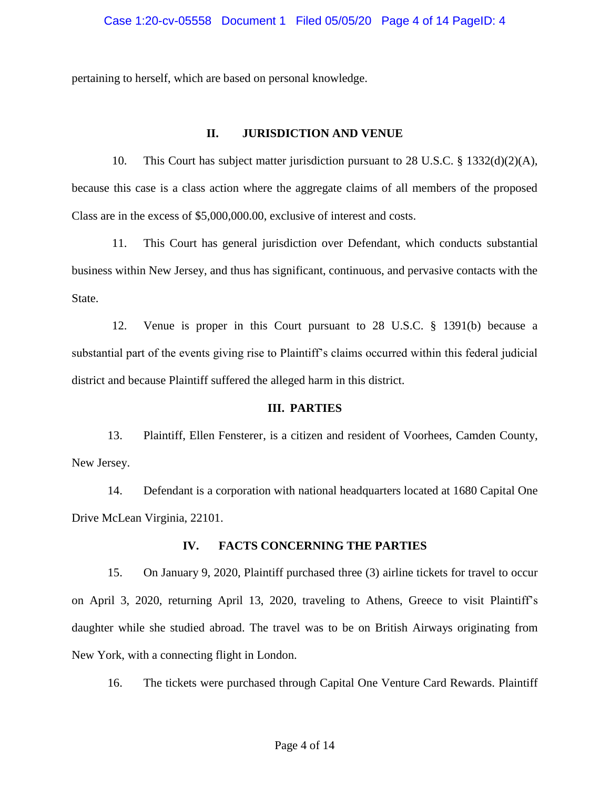## Case 1:20-cv-05558 Document 1 Filed 05/05/20 Page 4 of 14 PageID: 4

pertaining to herself, which are based on personal knowledge.

# **II. JURISDICTION AND VENUE**

10. This Court has subject matter jurisdiction pursuant to 28 U.S.C.  $\S$  1332(d)(2)(A), because this case is a class action where the aggregate claims of all members of the proposed Class are in the excess of \$5,000,000.00, exclusive of interest and costs.

11. This Court has general jurisdiction over Defendant, which conducts substantial business within New Jersey, and thus has significant, continuous, and pervasive contacts with the State.

12. Venue is proper in this Court pursuant to 28 U.S.C. § 1391(b) because a substantial part of the events giving rise to Plaintiff's claims occurred within this federal judicial district and because Plaintiff suffered the alleged harm in this district.

## **III. PARTIES**

13. Plaintiff, Ellen Fensterer, is a citizen and resident of Voorhees, Camden County, New Jersey.

14. Defendant is a corporation with national headquarters located at 1680 Capital One Drive McLean Virginia, 22101.

# **IV. FACTS CONCERNING THE PARTIES**

15. On January 9, 2020, Plaintiff purchased three (3) airline tickets for travel to occur on April 3, 2020, returning April 13, 2020, traveling to Athens, Greece to visit Plaintiff's daughter while she studied abroad. The travel was to be on British Airways originating from New York, with a connecting flight in London.

16. The tickets were purchased through Capital One Venture Card Rewards. Plaintiff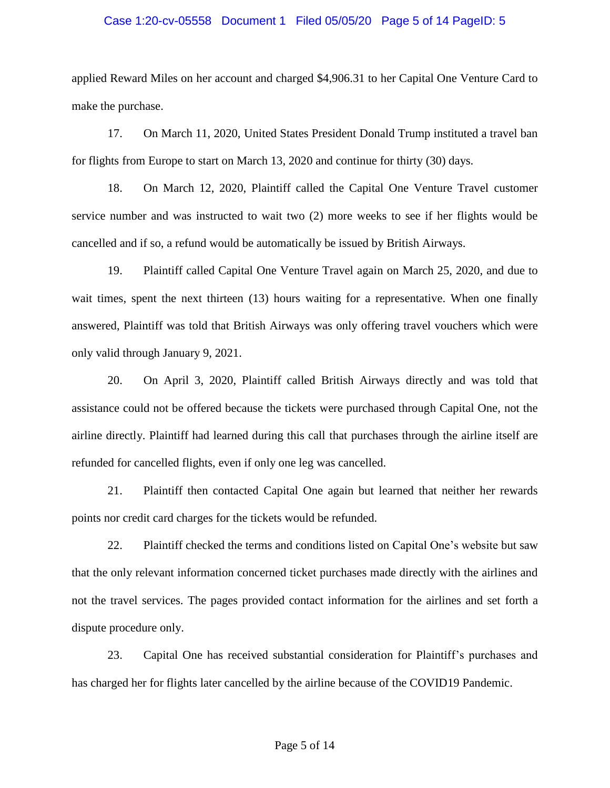#### Case 1:20-cv-05558 Document 1 Filed 05/05/20 Page 5 of 14 PageID: 5

applied Reward Miles on her account and charged \$4,906.31 to her Capital One Venture Card to make the purchase.

17. On March 11, 2020, United States President Donald Trump instituted a travel ban for flights from Europe to start on March 13, 2020 and continue for thirty (30) days.

18. On March 12, 2020, Plaintiff called the Capital One Venture Travel customer service number and was instructed to wait two (2) more weeks to see if her flights would be cancelled and if so, a refund would be automatically be issued by British Airways.

19. Plaintiff called Capital One Venture Travel again on March 25, 2020, and due to wait times, spent the next thirteen (13) hours waiting for a representative. When one finally answered, Plaintiff was told that British Airways was only offering travel vouchers which were only valid through January 9, 2021.

20. On April 3, 2020, Plaintiff called British Airways directly and was told that assistance could not be offered because the tickets were purchased through Capital One, not the airline directly. Plaintiff had learned during this call that purchases through the airline itself are refunded for cancelled flights, even if only one leg was cancelled.

21. Plaintiff then contacted Capital One again but learned that neither her rewards points nor credit card charges for the tickets would be refunded.

22. Plaintiff checked the terms and conditions listed on Capital One's website but saw that the only relevant information concerned ticket purchases made directly with the airlines and not the travel services. The pages provided contact information for the airlines and set forth a dispute procedure only.

23. Capital One has received substantial consideration for Plaintiff's purchases and has charged her for flights later cancelled by the airline because of the COVID19 Pandemic.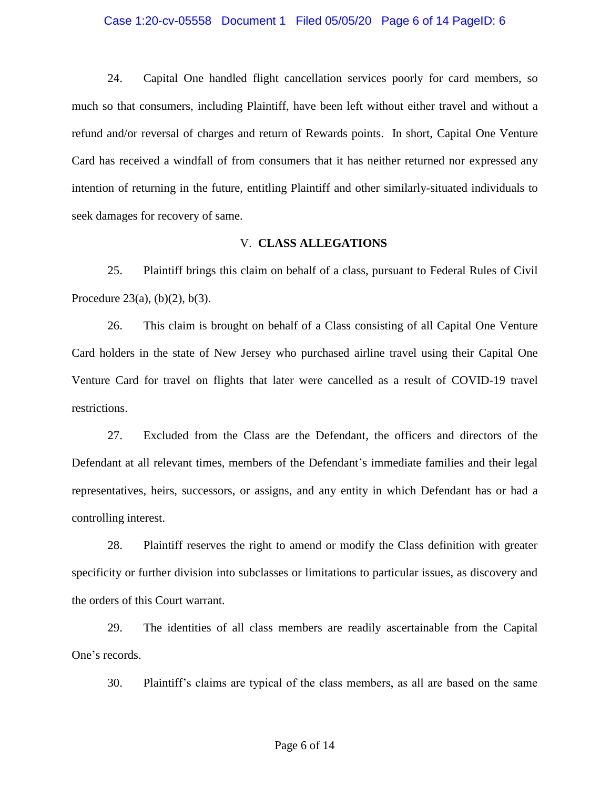#### Case 1:20-cv-05558 Document 1 Filed 05/05/20 Page 6 of 14 PageID: 6

24. Capital One handled flight cancellation services poorly for card members, so much so that consumers, including Plaintiff, have been left without either travel and without a refund and/or reversal of charges and return of Rewards points. In short, Capital One Venture Card has received a windfall of from consumers that it has neither returned nor expressed any intention of returning in the future, entitling Plaintiff and other similarly-situated individuals to seek damages for recovery of same.

# V. **CLASS ALLEGATIONS**

25. Plaintiff brings this claim on behalf of a class, pursuant to Federal Rules of Civil Procedure 23(a),  $(b)(2)$ ,  $b(3)$ .

26. This claim is brought on behalf of a Class consisting of all Capital One Venture Card holders in the state of New Jersey who purchased airline travel using their Capital One Venture Card for travel on flights that later were cancelled as a result of COVID-19 travel restrictions.

27. Excluded from the Class are the Defendant, the officers and directors of the Defendant at all relevant times, members of the Defendant's immediate families and their legal representatives, heirs, successors, or assigns, and any entity in which Defendant has or had a controlling interest.

28. Plaintiff reserves the right to amend or modify the Class definition with greater specificity or further division into subclasses or limitations to particular issues, as discovery and the orders of this Court warrant.

29. The identities of all class members are readily ascertainable from the Capital One's records.

30. Plaintiff's claims are typical of the class members, as all are based on the same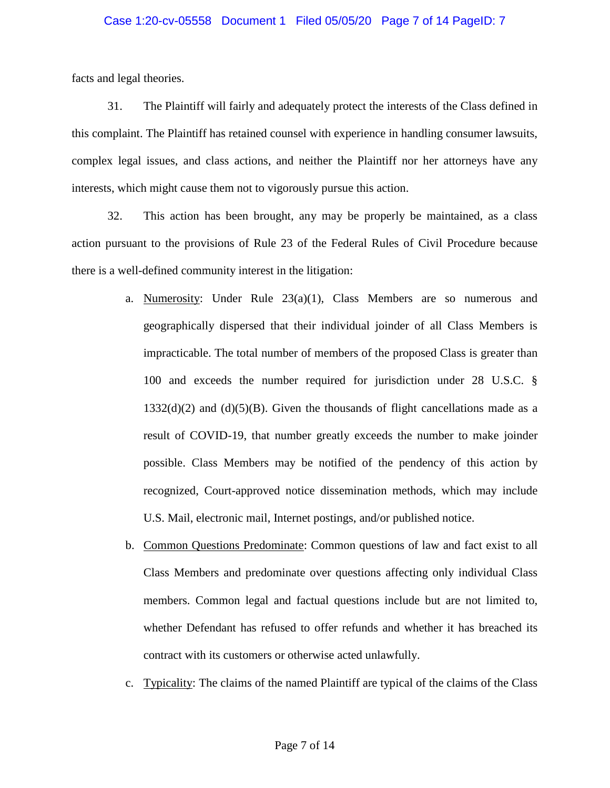#### Case 1:20-cv-05558 Document 1 Filed 05/05/20 Page 7 of 14 PageID: 7

facts and legal theories.

31. The Plaintiff will fairly and adequately protect the interests of the Class defined in this complaint. The Plaintiff has retained counsel with experience in handling consumer lawsuits, complex legal issues, and class actions, and neither the Plaintiff nor her attorneys have any interests, which might cause them not to vigorously pursue this action.

32. This action has been brought, any may be properly be maintained, as a class action pursuant to the provisions of Rule 23 of the Federal Rules of Civil Procedure because there is a well-defined community interest in the litigation:

- a. Numerosity: Under Rule  $23(a)(1)$ , Class Members are so numerous and geographically dispersed that their individual joinder of all Class Members is impracticable. The total number of members of the proposed Class is greater than 100 and exceeds the number required for jurisdiction under 28 U.S.C. §  $1332(d)(2)$  and  $(d)(5)(B)$ . Given the thousands of flight cancellations made as a result of COVID-19, that number greatly exceeds the number to make joinder possible. Class Members may be notified of the pendency of this action by recognized, Court-approved notice dissemination methods, which may include U.S. Mail, electronic mail, Internet postings, and/or published notice.
- b. Common Questions Predominate: Common questions of law and fact exist to all Class Members and predominate over questions affecting only individual Class members. Common legal and factual questions include but are not limited to, whether Defendant has refused to offer refunds and whether it has breached its contract with its customers or otherwise acted unlawfully.
- c. Typicality: The claims of the named Plaintiff are typical of the claims of the Class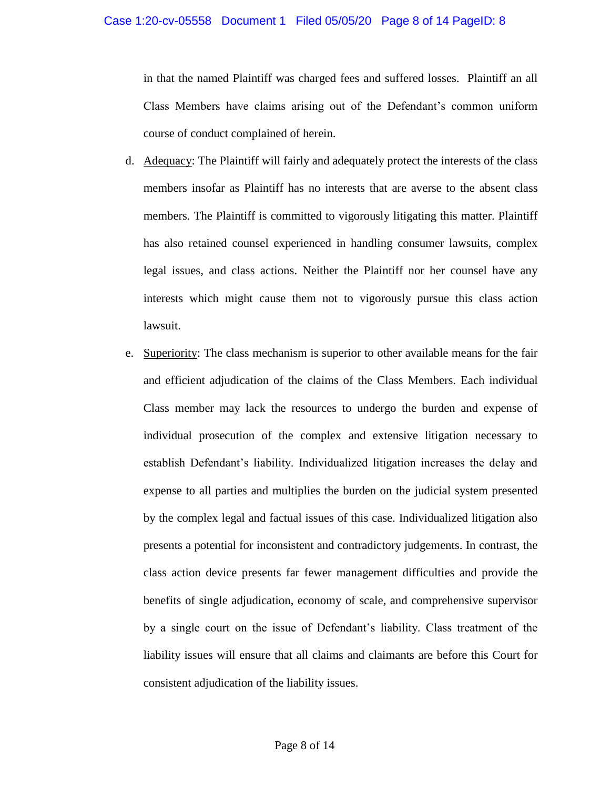## Case 1:20-cv-05558 Document 1 Filed 05/05/20 Page 8 of 14 PageID: 8

in that the named Plaintiff was charged fees and suffered losses. Plaintiff an all Class Members have claims arising out of the Defendant's common uniform course of conduct complained of herein.

- d. Adequacy: The Plaintiff will fairly and adequately protect the interests of the class members insofar as Plaintiff has no interests that are averse to the absent class members. The Plaintiff is committed to vigorously litigating this matter. Plaintiff has also retained counsel experienced in handling consumer lawsuits, complex legal issues, and class actions. Neither the Plaintiff nor her counsel have any interests which might cause them not to vigorously pursue this class action lawsuit.
- e. Superiority: The class mechanism is superior to other available means for the fair and efficient adjudication of the claims of the Class Members. Each individual Class member may lack the resources to undergo the burden and expense of individual prosecution of the complex and extensive litigation necessary to establish Defendant's liability. Individualized litigation increases the delay and expense to all parties and multiplies the burden on the judicial system presented by the complex legal and factual issues of this case. Individualized litigation also presents a potential for inconsistent and contradictory judgements. In contrast, the class action device presents far fewer management difficulties and provide the benefits of single adjudication, economy of scale, and comprehensive supervisor by a single court on the issue of Defendant's liability. Class treatment of the liability issues will ensure that all claims and claimants are before this Court for consistent adjudication of the liability issues.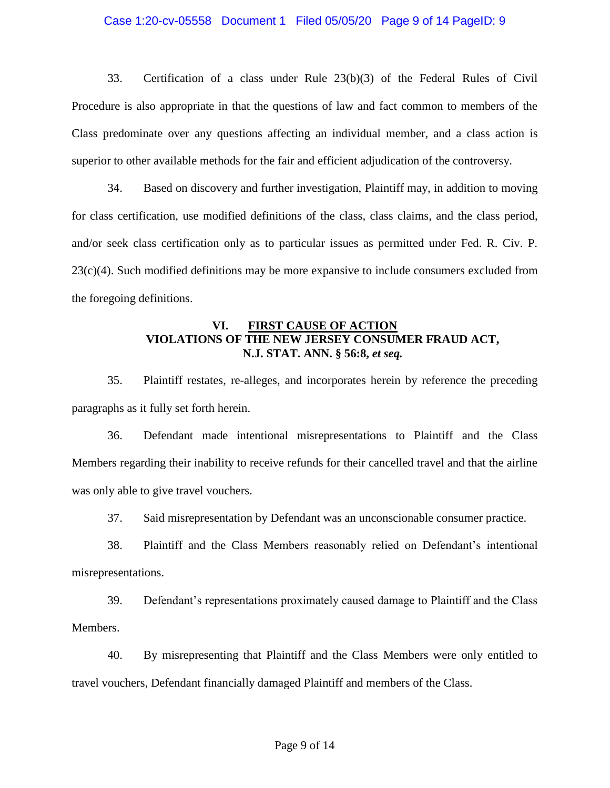#### Case 1:20-cv-05558 Document 1 Filed 05/05/20 Page 9 of 14 PageID: 9

33. Certification of a class under Rule 23(b)(3) of the Federal Rules of Civil Procedure is also appropriate in that the questions of law and fact common to members of the Class predominate over any questions affecting an individual member, and a class action is superior to other available methods for the fair and efficient adjudication of the controversy.

34. Based on discovery and further investigation, Plaintiff may, in addition to moving for class certification, use modified definitions of the class, class claims, and the class period, and/or seek class certification only as to particular issues as permitted under Fed. R. Civ. P.  $23(c)(4)$ . Such modified definitions may be more expansive to include consumers excluded from the foregoing definitions.

# **VI. FIRST CAUSE OF ACTION VIOLATIONS OF THE NEW JERSEY CONSUMER FRAUD ACT, N.J. STAT. ANN. § 56:8,** *et seq.*

35. Plaintiff restates, re-alleges, and incorporates herein by reference the preceding paragraphs as it fully set forth herein.

36. Defendant made intentional misrepresentations to Plaintiff and the Class Members regarding their inability to receive refunds for their cancelled travel and that the airline was only able to give travel vouchers.

37. Said misrepresentation by Defendant was an unconscionable consumer practice.

38. Plaintiff and the Class Members reasonably relied on Defendant's intentional misrepresentations.

39. Defendant's representations proximately caused damage to Plaintiff and the Class Members.

40. By misrepresenting that Plaintiff and the Class Members were only entitled to travel vouchers, Defendant financially damaged Plaintiff and members of the Class.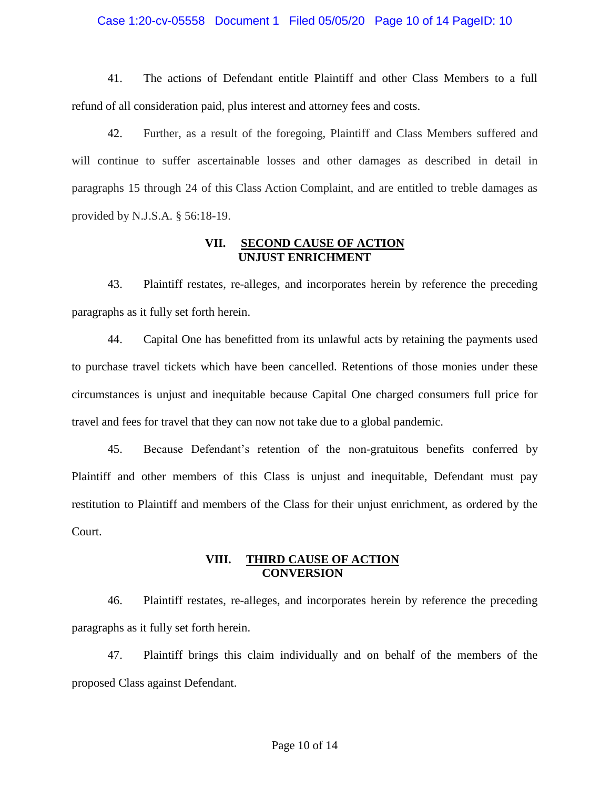#### Case 1:20-cv-05558 Document 1 Filed 05/05/20 Page 10 of 14 PageID: 10

41. The actions of Defendant entitle Plaintiff and other Class Members to a full refund of all consideration paid, plus interest and attorney fees and costs.

42. Further, as a result of the foregoing, Plaintiff and Class Members suffered and will continue to suffer ascertainable losses and other damages as described in detail in paragraphs 15 through 24 of this Class Action Complaint, and are entitled to treble damages as provided by N.J.S.A. § 56:18-19.

# **VII. SECOND CAUSE OF ACTION UNJUST ENRICHMENT**

43. Plaintiff restates, re-alleges, and incorporates herein by reference the preceding paragraphs as it fully set forth herein.

44. Capital One has benefitted from its unlawful acts by retaining the payments used to purchase travel tickets which have been cancelled. Retentions of those monies under these circumstances is unjust and inequitable because Capital One charged consumers full price for travel and fees for travel that they can now not take due to a global pandemic.

45. Because Defendant's retention of the non-gratuitous benefits conferred by Plaintiff and other members of this Class is unjust and inequitable, Defendant must pay restitution to Plaintiff and members of the Class for their unjust enrichment, as ordered by the Court.

# **VIII. THIRD CAUSE OF ACTION CONVERSION**

46. Plaintiff restates, re-alleges, and incorporates herein by reference the preceding paragraphs as it fully set forth herein.

47. Plaintiff brings this claim individually and on behalf of the members of the proposed Class against Defendant.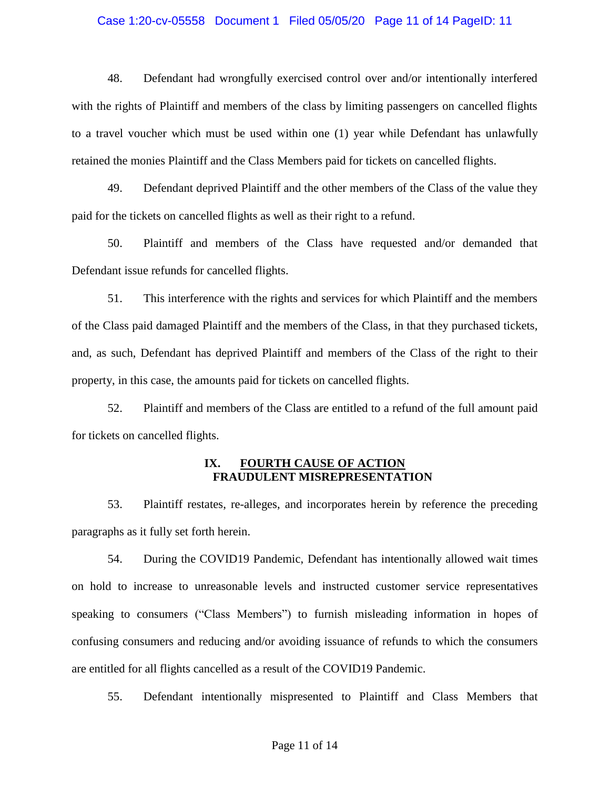#### Case 1:20-cv-05558 Document 1 Filed 05/05/20 Page 11 of 14 PageID: 11

48. Defendant had wrongfully exercised control over and/or intentionally interfered with the rights of Plaintiff and members of the class by limiting passengers on cancelled flights to a travel voucher which must be used within one (1) year while Defendant has unlawfully retained the monies Plaintiff and the Class Members paid for tickets on cancelled flights.

49. Defendant deprived Plaintiff and the other members of the Class of the value they paid for the tickets on cancelled flights as well as their right to a refund.

50. Plaintiff and members of the Class have requested and/or demanded that Defendant issue refunds for cancelled flights.

51. This interference with the rights and services for which Plaintiff and the members of the Class paid damaged Plaintiff and the members of the Class, in that they purchased tickets, and, as such, Defendant has deprived Plaintiff and members of the Class of the right to their property, in this case, the amounts paid for tickets on cancelled flights.

52. Plaintiff and members of the Class are entitled to a refund of the full amount paid for tickets on cancelled flights.

# **IX. FOURTH CAUSE OF ACTION FRAUDULENT MISREPRESENTATION**

53. Plaintiff restates, re-alleges, and incorporates herein by reference the preceding paragraphs as it fully set forth herein.

54. During the COVID19 Pandemic, Defendant has intentionally allowed wait times on hold to increase to unreasonable levels and instructed customer service representatives speaking to consumers ("Class Members") to furnish misleading information in hopes of confusing consumers and reducing and/or avoiding issuance of refunds to which the consumers are entitled for all flights cancelled as a result of the COVID19 Pandemic.

55. Defendant intentionally mispresented to Plaintiff and Class Members that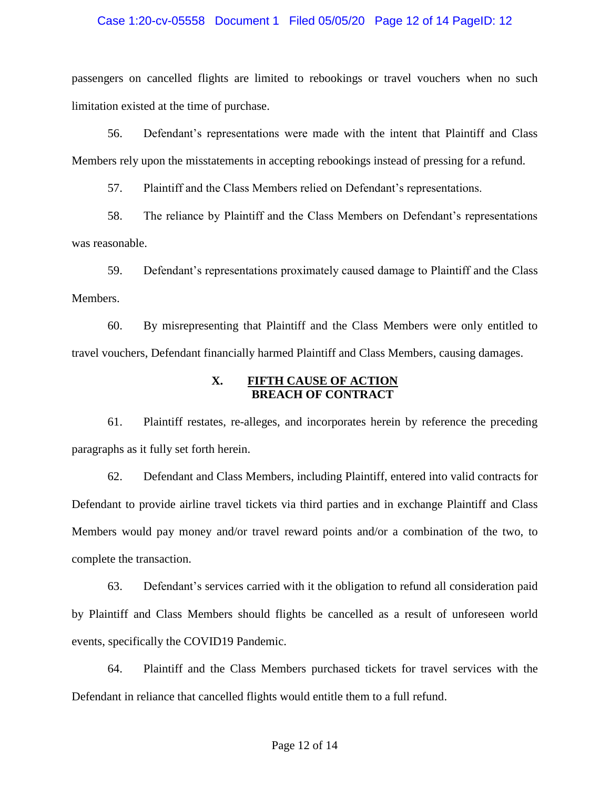#### Case 1:20-cv-05558 Document 1 Filed 05/05/20 Page 12 of 14 PageID: 12

passengers on cancelled flights are limited to rebookings or travel vouchers when no such limitation existed at the time of purchase.

56. Defendant's representations were made with the intent that Plaintiff and Class Members rely upon the misstatements in accepting rebookings instead of pressing for a refund.

57. Plaintiff and the Class Members relied on Defendant's representations.

58. The reliance by Plaintiff and the Class Members on Defendant's representations was reasonable.

59. Defendant's representations proximately caused damage to Plaintiff and the Class Members.

60. By misrepresenting that Plaintiff and the Class Members were only entitled to travel vouchers, Defendant financially harmed Plaintiff and Class Members, causing damages.

# **X. FIFTH CAUSE OF ACTION BREACH OF CONTRACT**

61. Plaintiff restates, re-alleges, and incorporates herein by reference the preceding paragraphs as it fully set forth herein.

62. Defendant and Class Members, including Plaintiff, entered into valid contracts for Defendant to provide airline travel tickets via third parties and in exchange Plaintiff and Class Members would pay money and/or travel reward points and/or a combination of the two, to complete the transaction.

63. Defendant's services carried with it the obligation to refund all consideration paid by Plaintiff and Class Members should flights be cancelled as a result of unforeseen world events, specifically the COVID19 Pandemic.

64. Plaintiff and the Class Members purchased tickets for travel services with the Defendant in reliance that cancelled flights would entitle them to a full refund.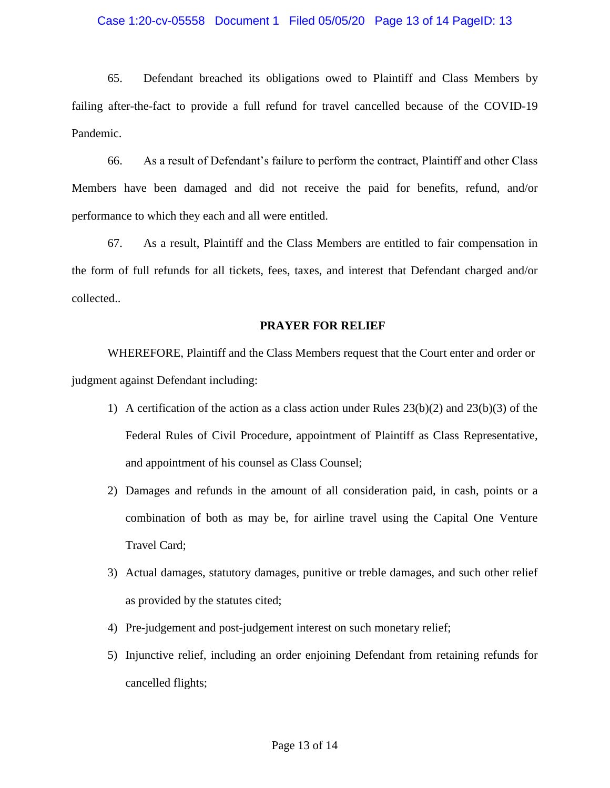## Case 1:20-cv-05558 Document 1 Filed 05/05/20 Page 13 of 14 PageID: 13

65. Defendant breached its obligations owed to Plaintiff and Class Members by failing after-the-fact to provide a full refund for travel cancelled because of the COVID-19 Pandemic.

66. As a result of Defendant's failure to perform the contract, Plaintiff and other Class Members have been damaged and did not receive the paid for benefits, refund, and/or performance to which they each and all were entitled.

67. As a result, Plaintiff and the Class Members are entitled to fair compensation in the form of full refunds for all tickets, fees, taxes, and interest that Defendant charged and/or collected..

# **PRAYER FOR RELIEF**

WHEREFORE, Plaintiff and the Class Members request that the Court enter and order or judgment against Defendant including:

- 1) A certification of the action as a class action under Rules 23(b)(2) and 23(b)(3) of the Federal Rules of Civil Procedure, appointment of Plaintiff as Class Representative, and appointment of his counsel as Class Counsel;
- 2) Damages and refunds in the amount of all consideration paid, in cash, points or a combination of both as may be, for airline travel using the Capital One Venture Travel Card;
- 3) Actual damages, statutory damages, punitive or treble damages, and such other relief as provided by the statutes cited;
- 4) Pre-judgement and post-judgement interest on such monetary relief;
- 5) Injunctive relief, including an order enjoining Defendant from retaining refunds for cancelled flights;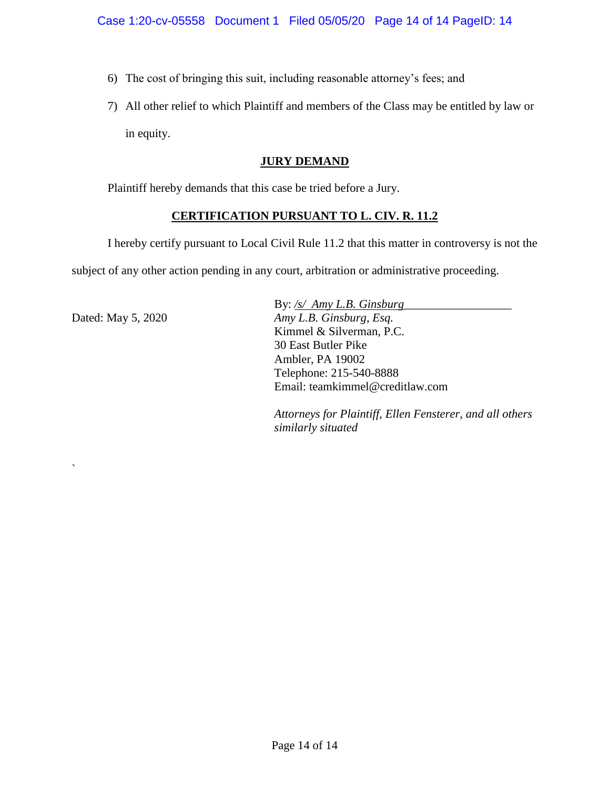- 6) The cost of bringing this suit, including reasonable attorney's fees; and
- 7) All other relief to which Plaintiff and members of the Class may be entitled by law or in equity.

# **JURY DEMAND**

Plaintiff hereby demands that this case be tried before a Jury.

# **CERTIFICATION PURSUANT TO L. CIV. R. 11.2**

I hereby certify pursuant to Local Civil Rule 11.2 that this matter in controversy is not the subject of any other action pending in any court, arbitration or administrative proceeding.

Dated: May 5, 2020

`

By: /s/ Amy L.B. Ginsburg *Amy L.B. Ginsburg, Esq.* Kimmel & Silverman, P.C. 30 East Butler Pike Ambler, PA 19002 Telephone: 215-540-8888 Email: teamkimmel@creditlaw.com

*Attorneys for Plaintiff, Ellen Fensterer, and all others similarly situated*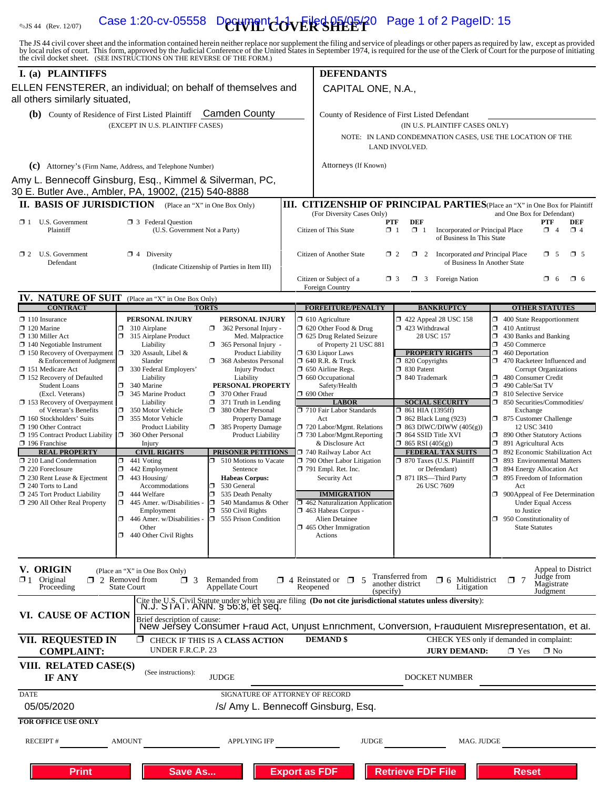# **Solution** Case 1:20-cv-05558 Decriment  $\frac{1}{2}$   $\frac{1}{2}$   $\frac{1}{2}$   $\frac{1}{2}$   $\frac{1}{2}$   $\frac{1}{2}$   $\frac{1}{2}$   $\frac{1}{2}$   $\frac{1}{2}$   $\frac{1}{2}$   $\frac{1}{2}$   $\frac{1}{2}$   $\frac{1}{2}$   $\frac{1}{2}$   $\frac{1}{2}$   $\frac{1}{2}$   $\frac{1}{2}$   $\frac{1}{2}$   $\$

The JS 44 civil cover sheet and the information contained herein neither replace nor supplement the filing and service of pleadings or other papers as required by law, except as provided<br>by local rules of court. This form,

| I. (a) PLAINTIFFS                                                                           |                                                                                                                                                   | <b>DEFENDANTS</b> |                                                                                                                                                                                                                                            |                                                                              |                                                                                     |  |  |
|---------------------------------------------------------------------------------------------|---------------------------------------------------------------------------------------------------------------------------------------------------|-------------------|--------------------------------------------------------------------------------------------------------------------------------------------------------------------------------------------------------------------------------------------|------------------------------------------------------------------------------|-------------------------------------------------------------------------------------|--|--|
| all others similarly situated,                                                              | ELLEN FENSTERER, an individual; on behalf of themselves and                                                                                       |                   | CAPITAL ONE, N.A.,                                                                                                                                                                                                                         |                                                                              |                                                                                     |  |  |
| (b) County of Residence of First Listed Plaintiff Camden County                             |                                                                                                                                                   |                   | County of Residence of First Listed Defendant                                                                                                                                                                                              |                                                                              |                                                                                     |  |  |
|                                                                                             | (EXCEPT IN U.S. PLAINTIFF CASES)                                                                                                                  |                   | (IN U.S. PLAINTIFF CASES ONLY)                                                                                                                                                                                                             |                                                                              |                                                                                     |  |  |
|                                                                                             |                                                                                                                                                   |                   | NOTE: IN LAND CONDEMNATION CASES, USE THE LOCATION OF THE<br>LAND INVOLVED.                                                                                                                                                                |                                                                              |                                                                                     |  |  |
|                                                                                             | (c) Attorney's (Firm Name, Address, and Telephone Number)                                                                                         |                   | Attorneys (If Known)                                                                                                                                                                                                                       |                                                                              |                                                                                     |  |  |
|                                                                                             | Amy L. Bennecoff Ginsburg, Esg., Kimmel & Silverman, PC,                                                                                          |                   |                                                                                                                                                                                                                                            |                                                                              |                                                                                     |  |  |
|                                                                                             | 30 E. Butler Ave., Ambler, PA, 19002, (215) 540-8888                                                                                              |                   |                                                                                                                                                                                                                                            |                                                                              |                                                                                     |  |  |
|                                                                                             | <b>II. BASIS OF JURISDICTION</b> (Place an "X" in One Box Only)                                                                                   |                   |                                                                                                                                                                                                                                            |                                                                              | <b>III. CITIZENSHIP OF PRINCIPAL PARTIES</b> (Place an "X" in One Box for Plaintiff |  |  |
| $\Box$ 1 U.S. Government<br>Plaintiff                                                       | <b>13</b> Federal Question<br>(U.S. Government Not a Party)                                                                                       |                   | (For Diversity Cases Only)<br>and One Box for Defendant)<br><b>DEF</b><br>PTF<br>PTF<br>DEF<br>$\mathbf{X}$ 1<br>$\Box$ 1<br>Citizen of This State<br>Incorporated or Principal Place<br>$\Box$ 4<br>$\Box$ 4<br>of Business In This State |                                                                              |                                                                                     |  |  |
| $\Box$ 2 U.S. Government<br>Defendant                                                       | <b>図</b> 4 Diversity<br>(Indicate Citizenship of Parties in Item III)                                                                             |                   | Citizen of Another State<br>$\Box$ 2<br>$\Box$ 2<br>Incorporated and Principal Place<br>$\square$ 5<br>$\times$ 5<br>of Business In Another State                                                                                          |                                                                              |                                                                                     |  |  |
|                                                                                             |                                                                                                                                                   |                   | Citizen or Subject of a                                                                                                                                                                                                                    | $\Box$ 3<br><b>Foreign Nation</b><br>$\Box$ 3                                | $\Box$ 6<br>$\Box$ 6                                                                |  |  |
| <b>IV. NATURE OF SUIT</b>                                                                   |                                                                                                                                                   |                   | Foreign Country                                                                                                                                                                                                                            |                                                                              |                                                                                     |  |  |
| <b>CONTRACT</b>                                                                             | (Place an "X" in One Box Only)<br><b>TORTS</b>                                                                                                    |                   | <b>FORFEITURE/PENALTY</b>                                                                                                                                                                                                                  | <b>BANKRUPTCY</b>                                                            | <b>OTHER STATUTES</b>                                                               |  |  |
| $\Box$ 110 Insurance<br>$\Box$ 120 Marine                                                   | PERSONAL INJURY<br>PERSONAL INJURY<br>$\Box$ 310 Airplane<br>362 Personal Injury -<br>ο.                                                          |                   | $\Box$ 610 Agriculture<br>$\Box$ 620 Other Food & Drug                                                                                                                                                                                     | $\Box$ 422 Appeal 28 USC 158<br>□ 423 Withdrawal                             | $\Box$ 400 State Reapportionment<br>$\Box$ 410 Antitrust                            |  |  |
| $\Box$ 130 Miller Act<br>$\Box$ 140 Negotiable Instrument                                   | $\Box$<br>315 Airplane Product<br>Med. Malpractice<br>Liability<br>365 Personal Injury -                                                          |                   | 5 625 Drug Related Seizure<br>of Property 21 USC 881                                                                                                                                                                                       | 28 USC 157                                                                   | Ω.<br>430 Banks and Banking<br>$\Box$ 450 Commerce                                  |  |  |
| $\Box$ 150 Recovery of Overpayment $\Box$ 320 Assault, Libel &<br>& Enforcement of Judgment | <b>Product Liability</b><br>Slander<br>368 Asbestos Personal                                                                                      |                   | $\Box$ 630 Liquor Laws<br><b>1 640 R.R. &amp; Truck</b>                                                                                                                                                                                    | <b>PROPERTY RIGHTS</b><br>$\Box$ 820 Copyrights                              | $\Box$ 460 Deportation<br>470 Racketeer Influenced and                              |  |  |
| 151 Medicare Act                                                                            | 330 Federal Employers'<br><b>Injury Product</b>                                                                                                   |                   | $\Box$ 650 Airline Regs.                                                                                                                                                                                                                   | 30 Patent                                                                    | <b>Corrupt Organizations</b>                                                        |  |  |
| $\Box$ 152 Recovery of Defaulted<br><b>Student Loans</b>                                    | Liability<br>Liability<br>$\Box$<br>340 Marine<br>PERSONAL PROPERTY                                                                               |                   | 1 660 Occupational<br>Safety/Health                                                                                                                                                                                                        | □ 840 Trademark                                                              | 480 Consumer Credit<br>σ<br>490 Cable/Sat TV                                        |  |  |
| (Excl. Veterans)<br>153 Recovery of Overpayment                                             | 345 Marine Product<br>370 Other Fraud<br>Liability<br>$\Box$ 371 Truth in Lending                                                                 |                   | $\Box$ 690 Other<br><b>LABOR</b>                                                                                                                                                                                                           | <b>SOCIAL SECURITY</b>                                                       | □ 810 Selective Service<br>□ 850 Securities/Commodities/                            |  |  |
| of Veteran's Benefits                                                                       | $\Box$<br>350 Motor Vehicle<br>380 Other Personal                                                                                                 |                   | 710 Fair Labor Standards                                                                                                                                                                                                                   | $\Box$ 861 HIA (1395ff)                                                      | Exchange                                                                            |  |  |
| $\Box$ 160 Stockholders' Suits<br>190 Other Contract                                        | 355 Motor Vehicle<br><b>Property Damage</b><br>385 Property Damage<br><b>Product Liability</b>                                                    |                   | Act<br>720 Labor/Mgmt. Relations                                                                                                                                                                                                           | <b>1</b> 862 Black Lung (923)<br>$\Box$ 863 DIWC/DIWW (405(g))               | □ 875 Customer Challenge<br>12 USC 3410                                             |  |  |
| 195 Contract Product Liability<br>$\Box$ 196 Franchise                                      | 360 Other Personal<br>Product Liability<br>Injury                                                                                                 |                   | 730 Labor/Mgmt.Reporting<br>& Disclosure Act                                                                                                                                                                                               | □ 864 SSID Title XVI<br>$\Box$ 865 RSI (405(g))                              | □ 890 Other Statutory Actions<br>□ 891 Agricultural Acts                            |  |  |
| <b>REAL PROPERTY</b>                                                                        | <b>CIVIL RIGHTS</b><br><b>PRISONER PETITIONS</b><br>510 Motions to Vacate<br>n.                                                                   |                   | 740 Railway Labor Act<br>$\Box$ 790 Other Labor Litigation                                                                                                                                                                                 | <b>FEDERAL TAX SUITS</b>                                                     | □ 892 Economic Stabilization Act<br>1 893 Environmental Matters                     |  |  |
| 210 Land Condemnation<br>$\Box$ 220 Foreclosure                                             | $\Box$<br>441 Voting<br>442 Employment<br>$\Box$<br>Sentence                                                                                      |                   | $\Box$ 791 Empl. Ret. Inc.                                                                                                                                                                                                                 | □ 870 Taxes (U.S. Plaintiff<br>or Defendant)                                 | □ 894 Energy Allocation Act                                                         |  |  |
| $\Box$ 230 Rent Lease & Ejectment<br>$\Box$ 240 Torts to Land                               | $\Box$ 443 Housing/<br><b>Habeas Corpus:</b><br>530 General<br>Accommodations<br>ο                                                                |                   | Security Act                                                                                                                                                                                                                               | □ 871 IRS-Third Party<br>26 USC 7609                                         | □ 895 Freedom of Information<br>Act                                                 |  |  |
| $\Box$ 245 Tort Product Liability                                                           | $\Box$ 444 Welfare<br>о<br>535 Death Penalty<br>$\Box$ 445 Amer. w/Disabilities -<br>D.<br>540 Mandamus & Other                                   |                   | <b>IMMIGRATION</b><br>$\Box$ 462 Naturalization Application                                                                                                                                                                                |                                                                              | $\Box$ 900Appeal of Fee Determination<br><b>Under Equal Access</b>                  |  |  |
| 290 All Other Real Property                                                                 | Employment<br>$\perp$ 550 Civil Rights                                                                                                            |                   | ⊿ 463 Habeas Corpus -                                                                                                                                                                                                                      |                                                                              | to Justice                                                                          |  |  |
|                                                                                             | $\Box$ 555 Prison Condition<br>$\Box$ 446 Amer. w/Disabilities -<br>Other                                                                         |                   | Alien Detainee<br>$\Box$ 465 Other Immigration                                                                                                                                                                                             |                                                                              | $\Box$ 950 Constitutionality of<br><b>State Statutes</b>                            |  |  |
|                                                                                             | $\Box$ 440 Other Civil Rights                                                                                                                     |                   | Actions                                                                                                                                                                                                                                    |                                                                              |                                                                                     |  |  |
|                                                                                             |                                                                                                                                                   |                   |                                                                                                                                                                                                                                            |                                                                              |                                                                                     |  |  |
| V. ORIGIN                                                                                   | (Place an "X" in One Box Only)                                                                                                                    |                   |                                                                                                                                                                                                                                            |                                                                              | Appeal to District                                                                  |  |  |
| $\mathbf{\Sigma}$ 1 Original<br>Proceeding                                                  | $\Box$ 2 Removed from<br>Remanded from<br>$\sqcap$ 3<br><b>State Court</b><br>Appellate Court                                                     | Reopened          | $\Box$ 4 Reinstated or $\Box$ 5<br>(specify)                                                                                                                                                                                               | Transferred from<br>$\Box$ 6 Multidistrict<br>another district<br>Litigation | Judge from<br>$\Box$ 7<br>Magistrate<br>Judgment                                    |  |  |
| VI. CAUSE OF ACTION                                                                         | Cite the U.S. Civil Statute under which you are filing (Do not cite jurisdictional statutes unless diversity):<br>N.J. STAT. ANN. § 56:8, et seq. |                   |                                                                                                                                                                                                                                            |                                                                              |                                                                                     |  |  |
|                                                                                             | Brief description of cause:<br>New Jersey Consumer Fraud Act, Unjust Enrichment, Conversion, Fraudulent Misrepresentation, et al.                 |                   |                                                                                                                                                                                                                                            |                                                                              |                                                                                     |  |  |
| VII. REQUESTED IN<br><b>COMPLAINT:</b>                                                      | <b>Z</b> CHECK IF THIS IS A CLASS ACTION<br>UNDER F.R.C.P. 23                                                                                     |                   | <b>DEMAND</b> \$                                                                                                                                                                                                                           | <b>JURY DEMAND:</b>                                                          | CHECK YES only if demanded in complaint:<br>$\blacksquare$ Yes<br>$\Box$ No         |  |  |
| VIII. RELATED CASE(S)<br>IF ANY                                                             | (See instructions):<br><b>JUDGE</b>                                                                                                               |                   |                                                                                                                                                                                                                                            | DOCKET NUMBER                                                                |                                                                                     |  |  |
| <b>DATE</b>                                                                                 | SIGNATURE OF ATTORNEY OF RECORD                                                                                                                   |                   |                                                                                                                                                                                                                                            |                                                                              |                                                                                     |  |  |
| 05/05/2020                                                                                  | /s/ Amy L. Bennecoff Ginsburg, Esq.                                                                                                               |                   |                                                                                                                                                                                                                                            |                                                                              |                                                                                     |  |  |
| <b>FOR OFFICE USE ONLY</b>                                                                  |                                                                                                                                                   |                   |                                                                                                                                                                                                                                            |                                                                              |                                                                                     |  |  |
| <b>RECEIPT#</b>                                                                             | <b>APPLYING IFP</b><br>AMOUNT                                                                                                                     |                   | <b>JUDGE</b>                                                                                                                                                                                                                               | MAG. JUDGE                                                                   |                                                                                     |  |  |
|                                                                                             |                                                                                                                                                   |                   |                                                                                                                                                                                                                                            |                                                                              |                                                                                     |  |  |
| <b>Print</b>                                                                                | Save As                                                                                                                                           |                   | <b>Export as FDF</b>                                                                                                                                                                                                                       | Retrieve FDF File                                                            | <b>Reset</b>                                                                        |  |  |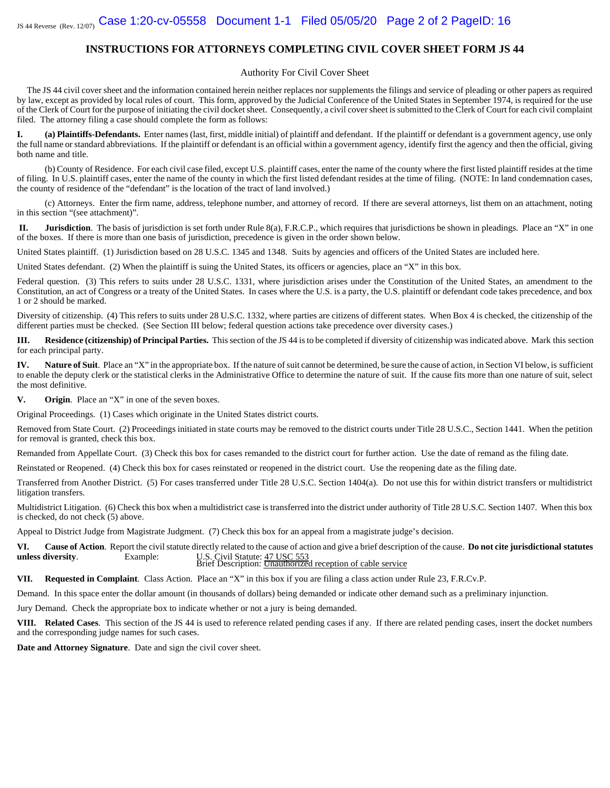#### **INSTRUCTIONS FOR ATTORNEYS COMPLETING CIVIL COVER SHEET FORM JS 44**

#### Authority For Civil Cover Sheet

The JS 44 civil cover sheet and the information contained herein neither replaces nor supplements the filings and service of pleading or other papers as required by law, except as provided by local rules of court. This form, approved by the Judicial Conference of the United States in September 1974, is required for the use of the Clerk of Court for the purpose of initiating the civil docket sheet. Consequently, a civil cover sheet is submitted to the Clerk of Court for each civil complaint filed. The attorney filing a case should complete the form as follows:

**I. (a) Plaintiffs-Defendants.** Enter names (last, first, middle initial) of plaintiff and defendant. If the plaintiff or defendant is a government agency, use only the full name or standard abbreviations. If the plaintiff or defendant is an official within a government agency, identify first the agency and then the official, giving both name and title.

(b) County of Residence. For each civil case filed, except U.S. plaintiff cases, enter the name of the county where the first listed plaintiff resides at the time of filing. In U.S. plaintiff cases, enter the name of the county in which the first listed defendant resides at the time of filing. (NOTE: In land condemnation cases, the county of residence of the "defendant" is the location of the tract of land involved.)

(c) Attorneys. Enter the firm name, address, telephone number, and attorney of record. If there are several attorneys, list them on an attachment, noting in this section "(see attachment)".

**II.** Jurisdiction. The basis of jurisdiction is set forth under Rule 8(a), F.R.C.P., which requires that jurisdictions be shown in pleadings. Place an "X" in one of the boxes. If there is more than one basis of jurisdiction, precedence is given in the order shown below.

United States plaintiff. (1) Jurisdiction based on 28 U.S.C. 1345 and 1348. Suits by agencies and officers of the United States are included here.

United States defendant. (2) When the plaintiff is suing the United States, its officers or agencies, place an "X" in this box.

Federal question. (3) This refers to suits under 28 U.S.C. 1331, where jurisdiction arises under the Constitution of the United States, an amendment to the Constitution, an act of Congress or a treaty of the United States. In cases where the U.S. is a party, the U.S. plaintiff or defendant code takes precedence, and box 1 or 2 should be marked.

Diversity of citizenship. (4) This refers to suits under 28 U.S.C. 1332, where parties are citizens of different states. When Box 4 is checked, the citizenship of the different parties must be checked. (See Section III below; federal question actions take precedence over diversity cases.)

**III. Residence (citizenship) of Principal Parties.** This section of the JS 44 is to be completed if diversity of citizenship was indicated above. Mark this section for each principal party.

**IV. Nature of Suit**. Place an "X" in the appropriate box. If the nature of suit cannot be determined, be sure the cause of action, in Section VI below, is sufficient to enable the deputy clerk or the statistical clerks in the Administrative Office to determine the nature of suit. If the cause fits more than one nature of suit, select the most definitive.

**V. Origin**. Place an "X" in one of the seven boxes.

Original Proceedings. (1) Cases which originate in the United States district courts.

Removed from State Court. (2) Proceedings initiated in state courts may be removed to the district courts under Title 28 U.S.C., Section 1441. When the petition for removal is granted, check this box.

Remanded from Appellate Court. (3) Check this box for cases remanded to the district court for further action. Use the date of remand as the filing date.

Reinstated or Reopened. (4) Check this box for cases reinstated or reopened in the district court. Use the reopening date as the filing date.

Transferred from Another District. (5) For cases transferred under Title 28 U.S.C. Section 1404(a). Do not use this for within district transfers or multidistrict litigation transfers.

Multidistrict Litigation. (6) Check this box when a multidistrict case is transferred into the district under authority of Title 28 U.S.C. Section 1407. When this box is checked, do not check (5) above.

Appeal to District Judge from Magistrate Judgment. (7) Check this box for an appeal from a magistrate judge's decision.

**VI. Cause of Action**. Report the civil statute directly related to the cause of action and give a brief description of the cause. **Do not cite jurisdictional statutes unless diversity.** Example: U.S. Civil Statute: 47 USC 553 Brief Description: Unauthorized reception of cable service

**VII. Requested in Complaint**. Class Action. Place an "X" in this box if you are filing a class action under Rule 23, F.R.Cv.P.

Demand. In this space enter the dollar amount (in thousands of dollars) being demanded or indicate other demand such as a preliminary injunction.

Jury Demand. Check the appropriate box to indicate whether or not a jury is being demanded.

**VIII. Related Cases**. This section of the JS 44 is used to reference related pending cases if any. If there are related pending cases, insert the docket numbers and the corresponding judge names for such cases.

**Date and Attorney Signature**. Date and sign the civil cover sheet.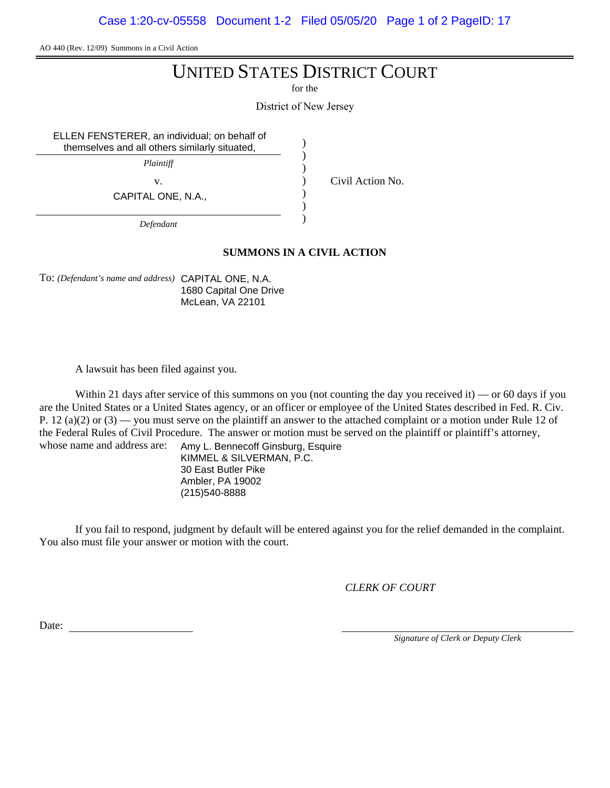Case 1:20-cv-05558 Document 1-2 Filed 05/05/20 Page 1 of 2 PageID: 17

AO 440 (Rev. 12/09) Summons in a Civil Action

# UNITED STATES DISTRICT COURT

for the

District of New Jersey

) ) ) ) ) ) )

ELLEN FENSTERER, an individual; on behalf of themselves and all others similarly situated,

*Plaintiff*

CAPITAL ONE, N.A.,

v. Civil Action No.

*Defendant*

## **SUMMONS IN A CIVIL ACTION**

To: *(Defendant's name and address)* CAPITAL ONE, N.A. 1680 Capital One Drive McLean, VA 22101

A lawsuit has been filed against you.

Within 21 days after service of this summons on you (not counting the day you received it) — or 60 days if you are the United States or a United States agency, or an officer or employee of the United States described in Fed. R. Civ. P. 12 (a)(2) or (3) — you must serve on the plaintiff an answer to the attached complaint or a motion under Rule 12 of the Federal Rules of Civil Procedure. The answer or motion must be served on the plaintiff or plaintiff's attorney, whose name and address are:

Amy L. Bennecoff Ginsburg, Esquire KIMMEL & SILVERMAN, P.C. 30 East Butler Pike Ambler, PA 19002 (215)540-8888

If you fail to respond, judgment by default will be entered against you for the relief demanded in the complaint. You also must file your answer or motion with the court.

*CLERK OF COURT*

Date:

*Signature of Clerk or Deputy Clerk*